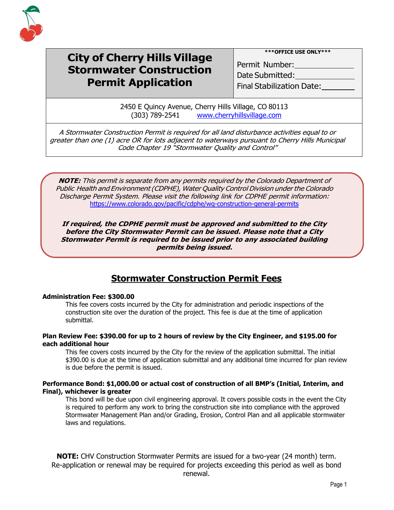

# **City of Cherry Hills Village Stormwater Construction Permit Application**

**\*\*\*OFFICE USE ONLY\*\*\***

Permit Number: <u>\_\_\_\_\_\_\_\_</u> Date Submitted:

Final Stabilization Date:

2450 E Quincy Avenue, Cherry Hills Village, CO 80113 (303) 789-2541 [www.cherryhillsvillage.com](http://www.cherryhillsvillage.com/)

A Stormwater Construction Permit is required for all land disturbance activities equal to or greater than one (1) acre OR for lots adjacent to waterways pursuant to Cherry Hills Municipal Code Chapter 19 "Stormwater Quality and Control"

**NOTE:** This permit is separate from any permits required by the Colorado Department of Public Health and Environment(CDPHE), Water Quality Control Division under the Colorado Discharge Permit System. Please visit the following link for CDPHE permit information: <https://www.colorado.gov/pacific/cdphe/wq-construction-general-permits>

**If required, the CDPHE permit must be approved and submitted to the City before the City Stormwater Permit can be issued. Please note that a City Stormwater Permit is required to be issued prior to any associated building permits being issued.**

## **Stormwater Construction Permit Fees**

#### **Administration Fee: \$300.00**

This fee covers costs incurred by the City for administration and periodic inspections of the construction site over the duration of the project. This fee is due at the time of application submittal.

#### **Plan Review Fee: \$390.00 for up to 2 hours of review by the City Engineer, and \$195.00 for each additional hour**

This fee covers costs incurred by the City for the review of the application submittal. The initial \$390.00 is due at the time of application submittal and any additional time incurred for plan review is due before the permit is issued.

#### **Performance Bond: \$1,000.00 or actual cost of construction of all BMP's (Initial, Interim, and Final), whichever is greater**

This bond will be due upon civil engineering approval. It covers possible costs in the event the City is required to perform any work to bring the construction site into compliance with the approved Stormwater Management Plan and/or Grading, Erosion, Control Plan and all applicable stormwater laws and regulations.

**NOTE:** CHV Construction Stormwater Permits are issued for a two-year (24 month) term. Re-application or renewal may be required for projects exceeding this period as well as bond renewal.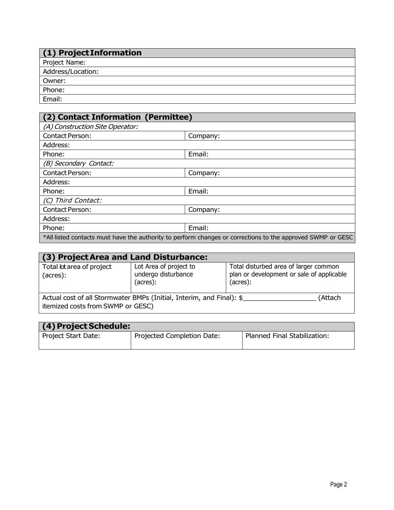| $(1)$ Project Information |
|---------------------------|
| Project Name:             |
| Address/Location:         |
| Owner:                    |
| Phone:                    |
| Email:                    |

| (2) Contact Information (Permittee)                                                                         |          |  |
|-------------------------------------------------------------------------------------------------------------|----------|--|
| (A) Construction Site Operator:                                                                             |          |  |
| <b>Contact Person:</b>                                                                                      | Company: |  |
| Address:                                                                                                    |          |  |
| Phone:                                                                                                      | Email:   |  |
| (B) Secondary Contact:                                                                                      |          |  |
| <b>Contact Person:</b>                                                                                      | Company: |  |
| Address:                                                                                                    |          |  |
| Phone:                                                                                                      | Email:   |  |
| (C) Third Contact:                                                                                          |          |  |
| <b>Contact Person:</b>                                                                                      | Company: |  |
| Address:                                                                                                    |          |  |
| Phone:                                                                                                      | Email:   |  |
| *All listed contacts must have the authority to perform changes or corrections to the approved SWMP or GESC |          |  |

| (3) Project Area and Land Disturbance:                                                                               |                                                           |                                                                                                |  |  |
|----------------------------------------------------------------------------------------------------------------------|-----------------------------------------------------------|------------------------------------------------------------------------------------------------|--|--|
| Total lot area of project<br>(acres):                                                                                | Lot Area of project to<br>undergo disturbance<br>(acres): | Total disturbed area of larger common<br>plan or development or sale of applicable<br>(acres): |  |  |
| Actual cost of all Stormwater BMPs (Initial, Interim, and Final): \$<br>(Attach<br>itemized costs from SWMP or GESC) |                                                           |                                                                                                |  |  |

| (4) Project Schedule: |                            |                              |
|-----------------------|----------------------------|------------------------------|
| Project Start Date:   | Projected Completion Date: | Planned Final Stabilization: |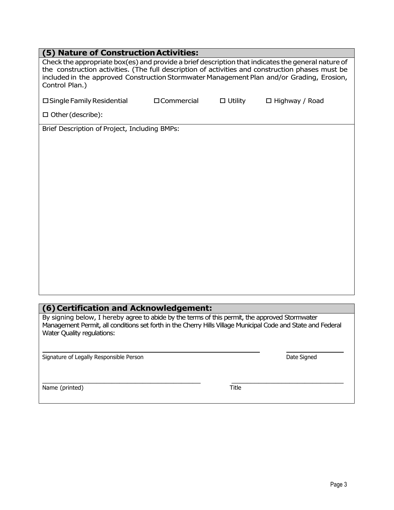| Check the appropriate box(es) and provide a brief description that indicates the general nature of<br>the construction activities. (The full description of activities and construction phases must be<br>included in the approved Construction Stormwater Management Plan and/or Grading, Erosion,<br>Control Plan.)<br>□ Single Family Residential<br>□ Commercial<br>$\Box$ Utility<br>$\Box$ Highway / Road<br>□ Other (describe):<br>Brief Description of Project, Including BMPs: | (5) Nature of Construction Activities: |  |  |
|-----------------------------------------------------------------------------------------------------------------------------------------------------------------------------------------------------------------------------------------------------------------------------------------------------------------------------------------------------------------------------------------------------------------------------------------------------------------------------------------|----------------------------------------|--|--|
|                                                                                                                                                                                                                                                                                                                                                                                                                                                                                         |                                        |  |  |
|                                                                                                                                                                                                                                                                                                                                                                                                                                                                                         |                                        |  |  |
|                                                                                                                                                                                                                                                                                                                                                                                                                                                                                         |                                        |  |  |
|                                                                                                                                                                                                                                                                                                                                                                                                                                                                                         |                                        |  |  |
|                                                                                                                                                                                                                                                                                                                                                                                                                                                                                         |                                        |  |  |
|                                                                                                                                                                                                                                                                                                                                                                                                                                                                                         |                                        |  |  |
|                                                                                                                                                                                                                                                                                                                                                                                                                                                                                         |                                        |  |  |
|                                                                                                                                                                                                                                                                                                                                                                                                                                                                                         |                                        |  |  |
|                                                                                                                                                                                                                                                                                                                                                                                                                                                                                         |                                        |  |  |
|                                                                                                                                                                                                                                                                                                                                                                                                                                                                                         |                                        |  |  |
|                                                                                                                                                                                                                                                                                                                                                                                                                                                                                         |                                        |  |  |
|                                                                                                                                                                                                                                                                                                                                                                                                                                                                                         |                                        |  |  |
|                                                                                                                                                                                                                                                                                                                                                                                                                                                                                         |                                        |  |  |
|                                                                                                                                                                                                                                                                                                                                                                                                                                                                                         |                                        |  |  |
|                                                                                                                                                                                                                                                                                                                                                                                                                                                                                         |                                        |  |  |
|                                                                                                                                                                                                                                                                                                                                                                                                                                                                                         |                                        |  |  |

## **(6)Certification and Acknowledgement:**

By signing below, I hereby agree to abide by the terms of this permit, the approved Stormwater Management Permit, all conditions set forth in the Cherry Hills Village Municipal Code and State and Federal Water Quality regulations:

\_\_\_\_\_\_\_\_\_\_\_\_\_\_\_\_\_\_\_\_\_\_\_\_\_\_\_\_\_\_\_\_\_\_\_\_\_\_\_\_\_ \_\_\_\_\_\_\_\_\_\_\_\_\_\_\_\_\_\_\_\_\_\_\_\_\_\_\_\_\_

Signature of Legally Responsible Person

|  | Date Signed |
|--|-------------|
|--|-------------|

Name (printed) Title